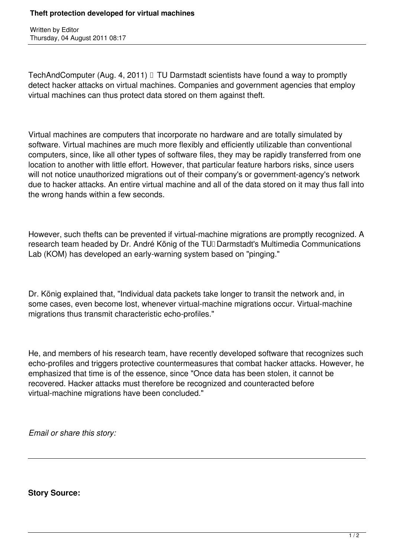Written by Editor Thursday, 04 August 2011 08:17

TechAndComputer (Aug. 4, 2011)  $\Box$  TU Darmstadt scientists have found a way to promptly detect hacker attacks on virtual machines. Companies and government agencies that employ virtual machines can thus protect data stored on them against theft.

Virtual machines are computers that incorporate no hardware and are totally simulated by software. Virtual machines are much more flexibly and efficiently utilizable than conventional computers, since, like all other types of software files, they may be rapidly transferred from one location to another with little effort. However, that particular feature harbors risks, since users will not notice unauthorized migrations out of their company's or government-agency's network due to hacker attacks. An entire virtual machine and all of the data stored on it may thus fall into the wrong hands within a few seconds.

However, such thefts can be prevented if virtual-machine migrations are promptly recognized. A research team headed by Dr. André König of the TU<sub>I</sub> Darmstadt's Multimedia Communications Lab (KOM) has developed an early-warning system based on "pinging."

Dr. König explained that, "Individual data packets take longer to transit the network and, in some cases, even become lost, whenever virtual-machine migrations occur. Virtual-machine migrations thus transmit characteristic echo-profiles."

He, and members of his research team, have recently developed software that recognizes such echo-profiles and triggers protective countermeasures that combat hacker attacks. However, he emphasized that time is of the essence, since "Once data has been stolen, it cannot be recovered. Hacker attacks must therefore be recognized and counteracted before virtual-machine migrations have been concluded."

*Email or share this story:*

**Story Source:**